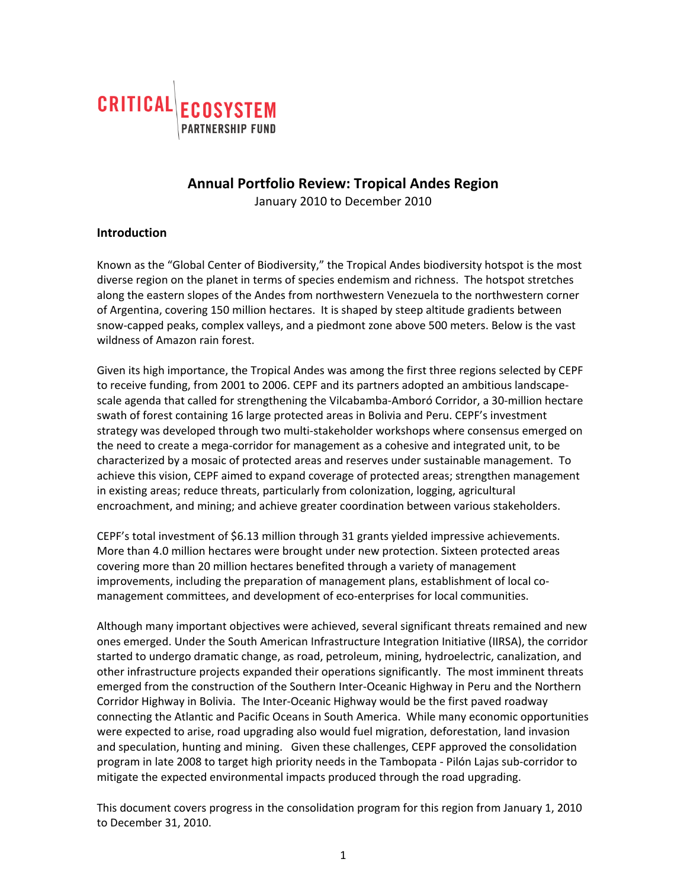

# **Annual Portfolio Review: Tropical Andes Region**

January 2010 to December 2010

#### **Introduction**

Known as the "Global Center of Biodiversity," the Tropical Andes biodiversity hotspot is the most diverse region on the planet in terms of species endemism and richness. The hotspot stretches along the eastern slopes of the Andes from northwestern Venezuela to the northwestern corner of Argentina, covering 150 million hectares. It is shaped by steep altitude gradients between snow‐capped peaks, complex valleys, and a piedmont zone above 500 meters. Below is the vast wildness of Amazon rain forest.

Given its high importance, the Tropical Andes was among the first three regions selected by CEPF to receive funding, from 2001 to 2006. CEPF and its partners adopted an ambitious landscape‐ scale agenda that called for strengthening the Vilcabamba‐Amboró Corridor, a 30‐million hectare swath of forest containing 16 large protected areas in Bolivia and Peru. CEPF's investment strategy was developed through two multi‐stakeholder workshops where consensus emerged on the need to create a mega‐corridor for management as a cohesive and integrated unit, to be characterized by a mosaic of protected areas and reserves under sustainable management. To achieve this vision, CEPF aimed to expand coverage of protected areas; strengthen management in existing areas; reduce threats, particularly from colonization, logging, agricultural encroachment, and mining; and achieve greater coordination between various stakeholders.

CEPF's total investment of \$6.13 million through 31 grants yielded impressive achievements. More than 4.0 million hectares were brought under new protection. Sixteen protected areas covering more than 20 million hectares benefited through a variety of management improvements, including the preparation of management plans, establishment of local comanagement committees, and development of eco‐enterprises for local communities.

Although many important objectives were achieved, several significant threats remained and new ones emerged. Under the South American Infrastructure Integration Initiative (IIRSA), the corridor started to undergo dramatic change, as road, petroleum, mining, hydroelectric, canalization, and other infrastructure projects expanded their operations significantly. The most imminent threats emerged from the construction of the Southern Inter-Oceanic Highway in Peru and the Northern Corridor Highway in Bolivia. The Inter‐Oceanic Highway would be the first paved roadway connecting the Atlantic and Pacific Oceans in South America. While many economic opportunities were expected to arise, road upgrading also would fuel migration, deforestation, land invasion and speculation, hunting and mining. Given these challenges, CEPF approved the consolidation program in late 2008 to target high priority needs in the Tambopata ‐ Pilón Lajas sub‐corridor to mitigate the expected environmental impacts produced through the road upgrading.

This document covers progress in the consolidation program for this region from January 1, 2010 to December 31, 2010.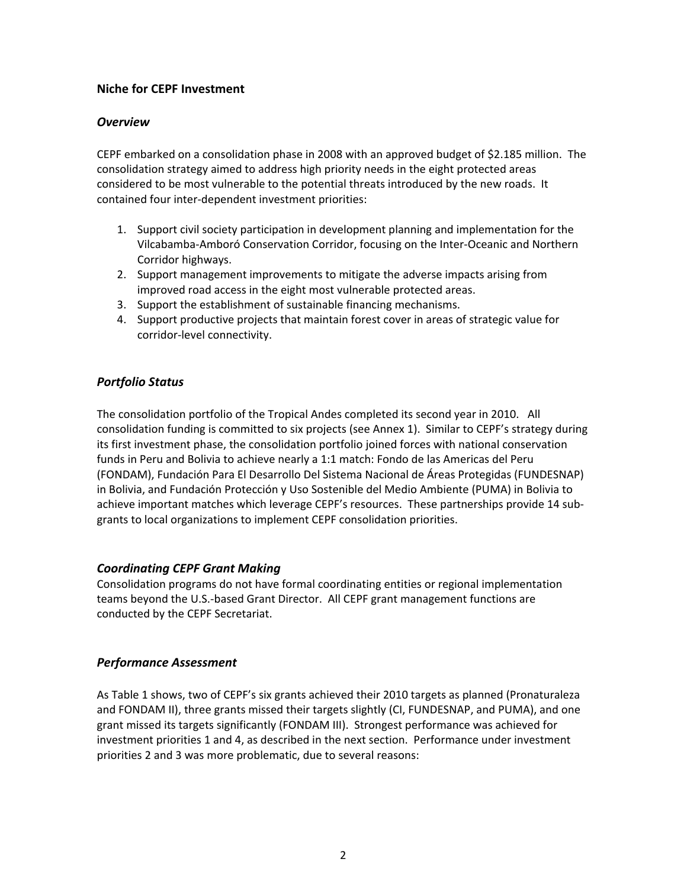## **Niche for CEPF Investment**

## *Overview*

CEPF embarked on a consolidation phase in 2008 with an approved budget of \$2.185 million. The consolidation strategy aimed to address high priority needs in the eight protected areas considered to be most vulnerable to the potential threats introduced by the new roads. It contained four inter‐dependent investment priorities:

- 1. Support civil society participation in development planning and implementation for the Vilcabamba‐Amboró Conservation Corridor, focusing on the Inter‐Oceanic and Northern Corridor highways.
- 2. Support management improvements to mitigate the adverse impacts arising from improved road access in the eight most vulnerable protected areas.
- 3. Support the establishment of sustainable financing mechanisms.
- 4. Support productive projects that maintain forest cover in areas of strategic value for corridor‐level connectivity.

## *Portfolio Status*

The consolidation portfolio of the Tropical Andes completed its second year in 2010. All consolidation funding is committed to six projects (see Annex 1). Similar to CEPF's strategy during its first investment phase, the consolidation portfolio joined forces with national conservation funds in Peru and Bolivia to achieve nearly a 1:1 match: Fondo de las Americas del Peru (FONDAM), Fundación Para El Desarrollo Del Sistema Nacional de Áreas Protegidas (FUNDESNAP) in Bolivia, and Fundación Protección y Uso Sostenible del Medio Ambiente (PUMA) in Bolivia to achieve important matches which leverage CEPF's resources. These partnerships provide 14 subgrants to local organizations to implement CEPF consolidation priorities.

## *Coordinating CEPF Grant Making*

Consolidation programs do not have formal coordinating entities or regional implementation teams beyond the U.S.‐based Grant Director. All CEPF grant management functions are conducted by the CEPF Secretariat.

## *Performance Assessment*

As Table 1 shows, two of CEPF's six grants achieved their 2010 targets as planned (Pronaturaleza and FONDAM II), three grants missed their targets slightly (CI, FUNDESNAP, and PUMA), and one grant missed its targets significantly (FONDAM III). Strongest performance was achieved for investment priorities 1 and 4, as described in the next section. Performance under investment priorities 2 and 3 was more problematic, due to several reasons: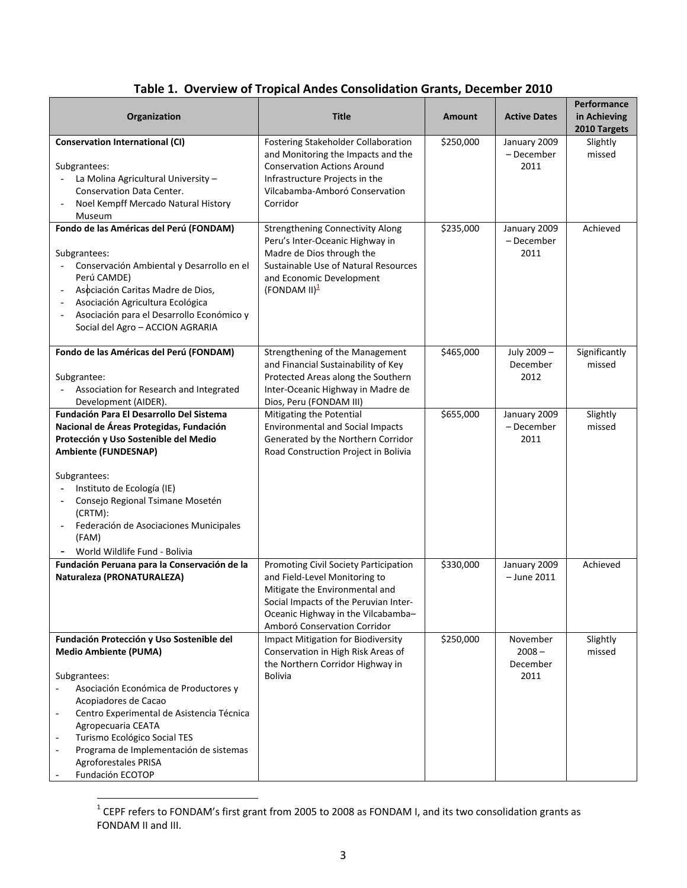|  |  |  |  |  | Table 1. Overview of Tropical Andes Consolidation Grants, December 2010 |
|--|--|--|--|--|-------------------------------------------------------------------------|
|--|--|--|--|--|-------------------------------------------------------------------------|

| <b>Title</b>                                                                                                                                                                                                            | <b>Amount</b> | <b>Active Dates</b>                      | Performance<br>in Achieving<br>2010 Targets |
|-------------------------------------------------------------------------------------------------------------------------------------------------------------------------------------------------------------------------|---------------|------------------------------------------|---------------------------------------------|
| Fostering Stakeholder Collaboration<br>and Monitoring the Impacts and the<br><b>Conservation Actions Around</b><br>Infrastructure Projects in the<br>Vilcabamba-Amboró Conservation<br>Corridor                         | \$250,000     | January 2009<br>- December<br>2011       | Slightly<br>missed                          |
| <b>Strengthening Connectivity Along</b><br>Peru's Inter-Oceanic Highway in<br>Madre de Dios through the<br>Sustainable Use of Natural Resources<br>and Economic Development<br>$(FONDAM II)^2$                          | \$235,000     | January 2009<br>- December<br>2011       | Achieved                                    |
| Strengthening of the Management<br>and Financial Sustainability of Key<br>Protected Areas along the Southern<br>Inter-Oceanic Highway in Madre de<br>Dios, Peru (FONDAM III)                                            | \$465,000     | July 2009-<br>December<br>2012           | Significantly<br>missed                     |
| Mitigating the Potential<br><b>Environmental and Social Impacts</b><br>Generated by the Northern Corridor<br>Road Construction Project in Bolivia                                                                       | \$655,000     | January 2009<br>- December<br>2011       | Slightly<br>missed                          |
|                                                                                                                                                                                                                         |               |                                          |                                             |
| Promoting Civil Society Participation<br>and Field-Level Monitoring to<br>Mitigate the Environmental and<br>Social Impacts of the Peruvian Inter-<br>Oceanic Highway in the Vilcabamba-<br>Amboró Conservation Corridor | \$330,000     | January 2009<br>- June 2011              | Achieved                                    |
| <b>Impact Mitigation for Biodiversity</b><br>Conservation in High Risk Areas of<br>the Northern Corridor Highway in<br><b>Bolivia</b>                                                                                   | \$250,000     | November<br>$2008 -$<br>December<br>2011 | Slightly<br>missed                          |
|                                                                                                                                                                                                                         |               |                                          |                                             |

 $^{1}$  CEPF refers to FONDAM's first grant from 2005 to 2008 as FONDAM I, and its two consolidation grants as FONDAM II and III.

 $\overline{a}$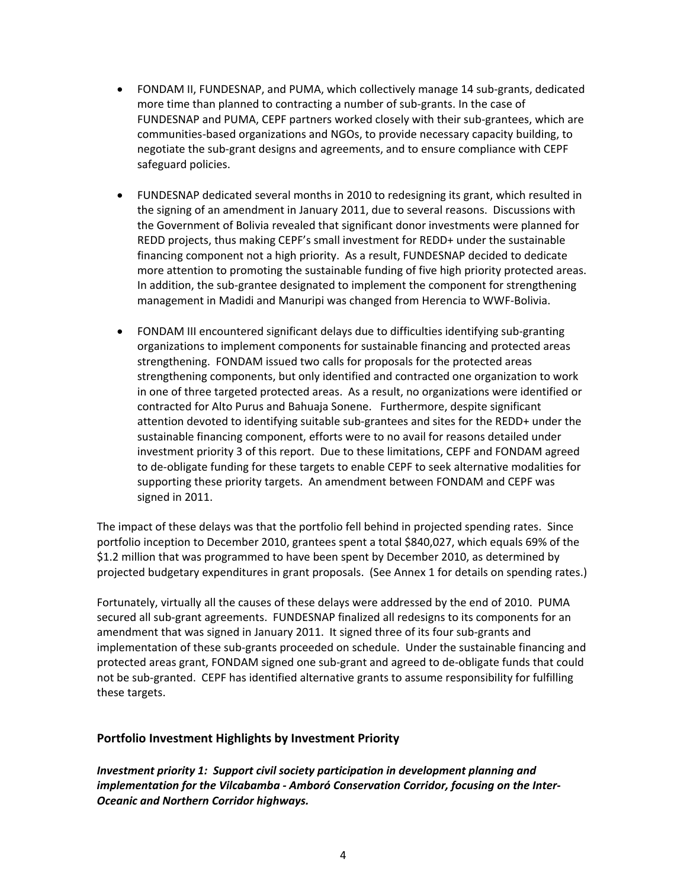- FONDAM II, FUNDESNAP, and PUMA, which collectively manage 14 sub‐grants, dedicated more time than planned to contracting a number of sub‐grants. In the case of FUNDESNAP and PUMA, CEPF partners worked closely with their sub‐grantees, which are communities‐based organizations and NGOs, to provide necessary capacity building, to negotiate the sub‐grant designs and agreements, and to ensure compliance with CEPF safeguard policies.
- FUNDESNAP dedicated several months in 2010 to redesigning its grant, which resulted in the signing of an amendment in January 2011, due to several reasons. Discussions with the Government of Bolivia revealed that significant donor investments were planned for REDD projects, thus making CEPF's small investment for REDD+ under the sustainable financing component not a high priority. As a result, FUNDESNAP decided to dedicate more attention to promoting the sustainable funding of five high priority protected areas. In addition, the sub‐grantee designated to implement the component for strengthening management in Madidi and Manuripi was changed from Herencia to WWF‐Bolivia.
- FONDAM III encountered significant delays due to difficulties identifying sub‐granting organizations to implement components for sustainable financing and protected areas strengthening. FONDAM issued two calls for proposals for the protected areas strengthening components, but only identified and contracted one organization to work in one of three targeted protected areas. As a result, no organizations were identified or contracted for Alto Purus and Bahuaja Sonene. Furthermore, despite significant attention devoted to identifying suitable sub‐grantees and sites for the REDD+ under the sustainable financing component, efforts were to no avail for reasons detailed under investment priority 3 of this report. Due to these limitations, CEPF and FONDAM agreed to de‐obligate funding for these targets to enable CEPF to seek alternative modalities for supporting these priority targets. An amendment between FONDAM and CEPF was signed in 2011.

The impact of these delays was that the portfolio fell behind in projected spending rates. Since portfolio inception to December 2010, grantees spent a total \$840,027, which equals 69% of the \$1.2 million that was programmed to have been spent by December 2010, as determined by projected budgetary expenditures in grant proposals. (See Annex 1 for details on spending rates.)

Fortunately, virtually all the causes of these delays were addressed by the end of 2010. PUMA secured all sub‐grant agreements. FUNDESNAP finalized all redesigns to its components for an amendment that was signed in January 2011. It signed three of its four sub‐grants and implementation of these sub-grants proceeded on schedule. Under the sustainable financing and protected areas grant, FONDAM signed one sub‐grant and agreed to de‐obligate funds that could not be sub‐granted. CEPF has identified alternative grants to assume responsibility for fulfilling these targets.

#### **Portfolio Investment Highlights by Investment Priority**

*Investment priority 1: Support civil society participation in development planning and implementation for the Vilcabamba ‐ Amboró Conservation Corridor, focusing on the Inter‐ Oceanic and Northern Corridor highways.*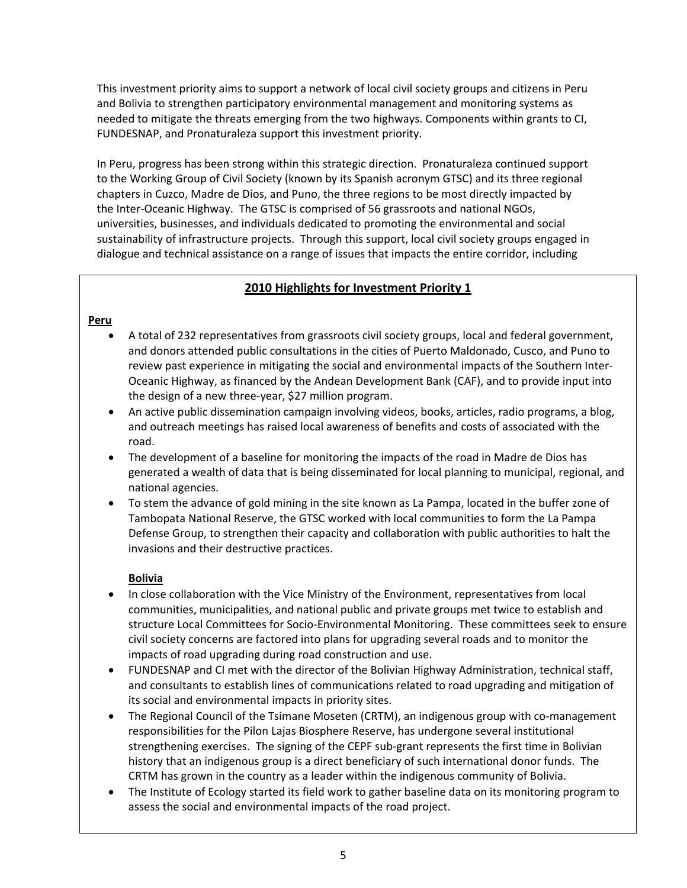This investment priority aims to support a network of local civil society groups and citizens in Peru and Bolivia to strengthen participatory environmental management and monitoring systems as needed to mitigate the threats emerging from the two highways. Components within grants to CI, FUNDESNAP, and Pronaturaleza support this investment priority.

In Peru, progress has been strong within this strategic direction. Pronaturaleza continued support to the Working Group of Civil Society (known by its Spanish acronym GTSC) and its three regional chapters in Cuzco, Madre de Dios, and Puno, the three regions to be most directly impacted by the Inter‐Oceanic Highway. The GTSC is comprised of 56 grassroots and national NGOs, universities, businesses, and individuals dedicated to promoting the environmental and social sustainability of infrastructure projects. Through this support, local civil society groups engaged in dialogue and technical assistance on a range of issues that impacts the entire corridor, including

## **2010 Highlights for Investment Priority 1**

## **Peru**

- A total of 232 representatives from grassroots civil society groups, local and federal government, and donors attended public consultations in the cities of Puerto Maldonado, Cusco, and Puno to review past experience in mitigating the social and environmental impacts of the Southern Inter‐ Oceanic Highway, as financed by the Andean Development Bank (CAF), and to provide input into the design of a new three‐year, \$27 million program.
- An active public dissemination campaign involving videos, books, articles, radio programs, a blog, and outreach meetings has raised local awareness of benefits and costs of associated with the road.
- The development of a baseline for monitoring the impacts of the road in Madre de Dios has generated a wealth of data that is being disseminated for local planning to municipal, regional, and national agencies.
- To stem the advance of gold mining in the site known as La Pampa, located in the buffer zone of Tambopata National Reserve, the GTSC worked with local communities to form the La Pampa Defense Group, to strengthen their capacity and collaboration with public authorities to halt the invasions and their destructive practices.

## **Bolivia**

- In close collaboration with the Vice Ministry of the Environment, representatives from local communities, municipalities, and national public and private groups met twice to establish and structure Local Committees for Socio‐Environmental Monitoring. These committees seek to ensure civil society concerns are factored into plans for upgrading several roads and to monitor the impacts of road upgrading during road construction and use.
- FUNDESNAP and CI met with the director of the Bolivian Highway Administration, technical staff, and consultants to establish lines of communications related to road upgrading and mitigation of its social and environmental impacts in priority sites.
- The Regional Council of the Tsimane Moseten (CRTM), an indigenous group with co-management responsibilities for the Pilon Lajas Biosphere Reserve, has undergone several institutional strengthening exercises. The signing of the CEPF sub‐grant represents the first time in Bolivian history that an indigenous group is a direct beneficiary of such international donor funds. The CRTM has grown in the country as a leader within the indigenous community of Bolivia.
- The Institute of Ecology started its field work to gather baseline data on its monitoring program to assess the social and environmental impacts of the road project.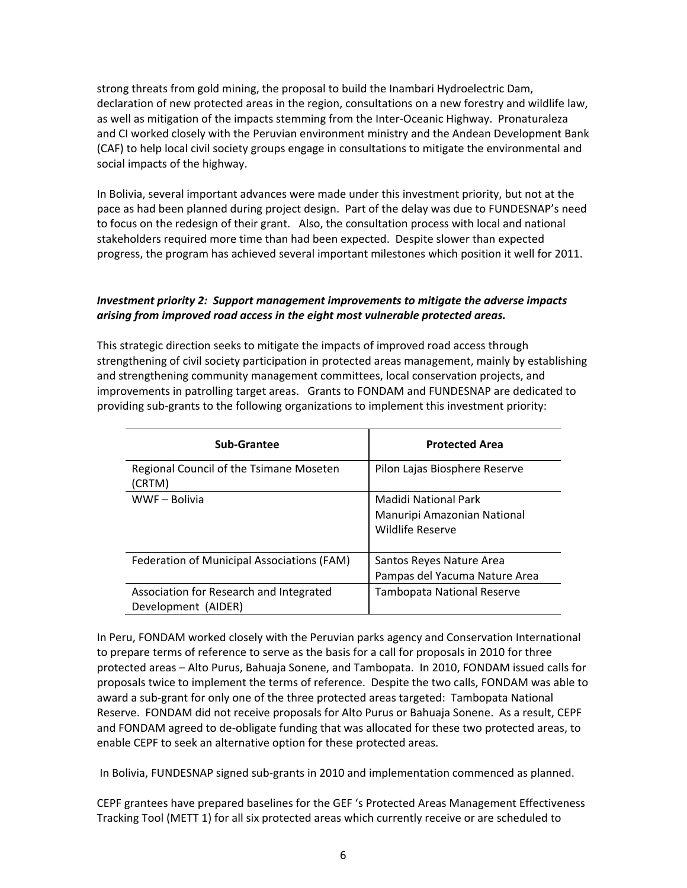strong threats from gold mining, the proposal to build the Inambari Hydroelectric Dam, declaration of new protected areas in the region, consultations on a new forestry and wildlife law, as well as mitigation of the impacts stemming from the Inter‐Oceanic Highway. Pronaturaleza and CI worked closely with the Peruvian environment ministry and the Andean Development Bank (CAF) to help local civil society groups engage in consultations to mitigate the environmental and social impacts of the highway.

In Bolivia, several important advances were made under this investment priority, but not at the pace as had been planned during project design. Part of the delay was due to FUNDESNAP's need to focus on the redesign of their grant. Also, the consultation process with local and national stakeholders required more time than had been expected. Despite slower than expected progress, the program has achieved several important milestones which position it well for 2011.

## *Investment priority 2: Support management improvements to mitigate the adverse impacts arising from improved road access in the eight most vulnerable protected areas.*

This strategic direction seeks to mitigate the impacts of improved road access through strengthening of civil society participation in protected areas management, mainly by establishing and strengthening community management committees, local conservation projects, and improvements in patrolling target areas. Grants to FONDAM and FUNDESNAP are dedicated to providing sub‐grants to the following organizations to implement this investment priority:

| Sub-Grantee                                                    | <b>Protected Area</b>                                                   |
|----------------------------------------------------------------|-------------------------------------------------------------------------|
| Regional Council of the Tsimane Moseten<br>(CRTM)              | Pilon Lajas Biosphere Reserve                                           |
| WWF-Bolivia                                                    | Madidi National Park<br>Manuripi Amazonian National<br>Wildlife Reserve |
| Federation of Municipal Associations (FAM)                     | Santos Reyes Nature Area<br>Pampas del Yacuma Nature Area               |
| Association for Research and Integrated<br>Development (AIDER) | <b>Tambopata National Reserve</b>                                       |

In Peru, FONDAM worked closely with the Peruvian parks agency and Conservation International to prepare terms of reference to serve as the basis for a call for proposals in 2010 for three protected areas – Alto Purus, Bahuaja Sonene, and Tambopata. In 2010, FONDAM issued calls for proposals twice to implement the terms of reference. Despite the two calls, FONDAM was able to award a sub‐grant for only one of the three protected areas targeted: Tambopata National Reserve. FONDAM did not receive proposals for Alto Purus or Bahuaja Sonene. As a result, CEPF and FONDAM agreed to de‐obligate funding that was allocated for these two protected areas, to enable CEPF to seek an alternative option for these protected areas.

In Bolivia, FUNDESNAP signed sub‐grants in 2010 and implementation commenced as planned.

CEPF grantees have prepared baselines for the GEF 's Protected Areas Management Effectiveness Tracking Tool (METT 1) for all six protected areas which currently receive or are scheduled to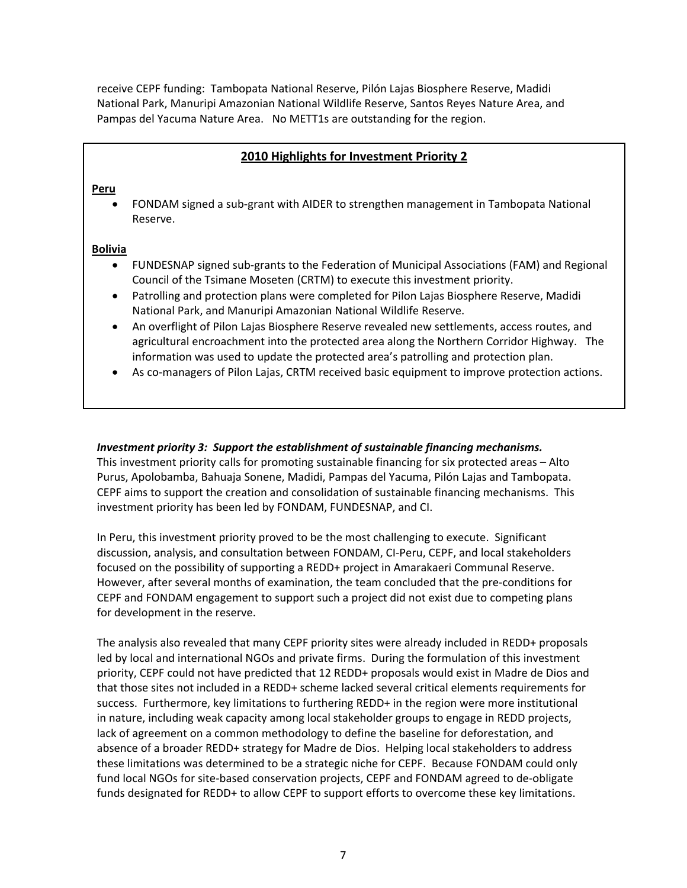receive CEPF funding: Tambopata National Reserve, Pilón Lajas Biosphere Reserve, Madidi National Park, Manuripi Amazonian National Wildlife Reserve, Santos Reyes Nature Area, and Pampas del Yacuma Nature Area. No METT1s are outstanding for the region.

## **2010 Highlights for Investment Priority 2**

#### **Peru**

 FONDAM signed a sub‐grant with AIDER to strengthen management in Tambopata National Reserve.

#### **Bolivia**

- FUNDESNAP signed sub‐grants to the Federation of Municipal Associations (FAM) and Regional Council of the Tsimane Moseten (CRTM) to execute this investment priority.
- Patrolling and protection plans were completed for Pilon Lajas Biosphere Reserve, Madidi National Park, and Manuripi Amazonian National Wildlife Reserve.
- An overflight of Pilon Lajas Biosphere Reserve revealed new settlements, access routes, and agricultural encroachment into the protected area along the Northern Corridor Highway. The information was used to update the protected area's patrolling and protection plan.
- As co-managers of Pilon Lajas, CRTM received basic equipment to improve protection actions.

#### *Investment priority 3: Support the establishment of sustainable financing mechanisms.*

This investment priority calls for promoting sustainable financing for six protected areas – Alto Purus, Apolobamba, Bahuaja Sonene, Madidi, Pampas del Yacuma, Pilón Lajas and Tambopata. CEPF aims to support the creation and consolidation of sustainable financing mechanisms. This investment priority has been led by FONDAM, FUNDESNAP, and CI.

In Peru, this investment priority proved to be the most challenging to execute. Significant discussion, analysis, and consultation between FONDAM, CI‐Peru, CEPF, and local stakeholders focused on the possibility of supporting a REDD+ project in Amarakaeri Communal Reserve. However, after several months of examination, the team concluded that the pre‐conditions for CEPF and FONDAM engagement to support such a project did not exist due to competing plans for development in the reserve.

The analysis also revealed that many CEPF priority sites were already included in REDD+ proposals led by local and international NGOs and private firms. During the formulation of this investment priority, CEPF could not have predicted that 12 REDD+ proposals would exist in Madre de Dios and that those sites not included in a REDD+ scheme lacked several critical elements requirements for success. Furthermore, key limitations to furthering REDD+ in the region were more institutional in nature, including weak capacity among local stakeholder groups to engage in REDD projects, lack of agreement on a common methodology to define the baseline for deforestation, and absence of a broader REDD+ strategy for Madre de Dios. Helping local stakeholders to address these limitations was determined to be a strategic niche for CEPF. Because FONDAM could only fund local NGOs for site‐based conservation projects, CEPF and FONDAM agreed to de‐obligate funds designated for REDD+ to allow CEPF to support efforts to overcome these key limitations.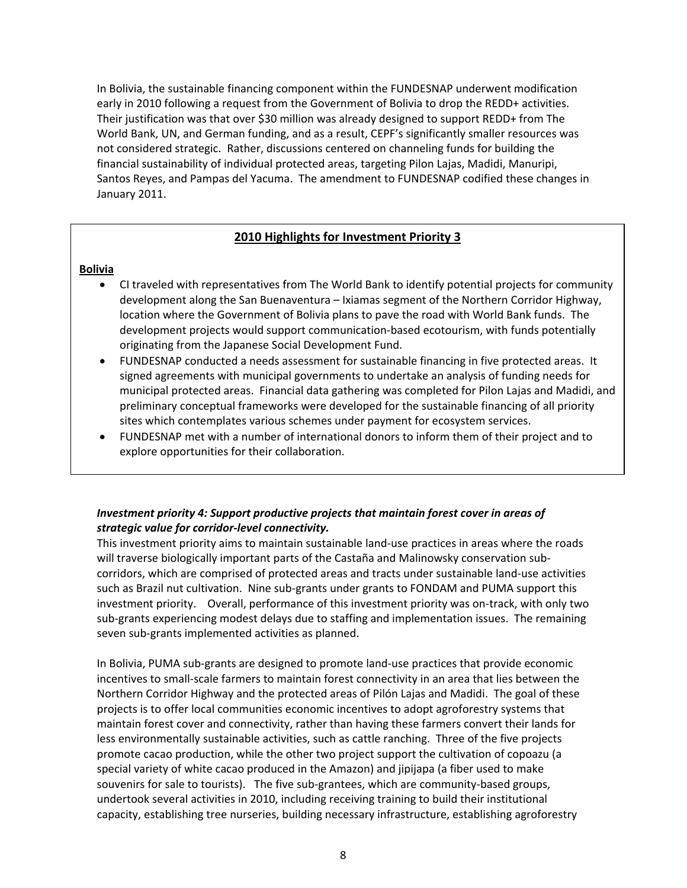In Bolivia, the sustainable financing component within the FUNDESNAP underwent modification early in 2010 following a request from the Government of Bolivia to drop the REDD+ activities. Their justification was that over \$30 million was already designed to support REDD+ from The World Bank, UN, and German funding, and as a result, CEPF's significantly smaller resources was not considered strategic. Rather, discussions centered on channeling funds for building the financial sustainability of individual protected areas, targeting Pilon Lajas, Madidi, Manuripi, Santos Reyes, and Pampas del Yacuma. The amendment to FUNDESNAP codified these changes in January 2011.

## **2010 Highlights for Investment Priority 3**

#### **Bolivia**

- CI traveled with representatives from The World Bank to identify potential projects for community development along the San Buenaventura – Ixiamas segment of the Northern Corridor Highway, location where the Government of Bolivia plans to pave the road with World Bank funds. The development projects would support communication‐based ecotourism, with funds potentially originating from the Japanese Social Development Fund.
- FUNDESNAP conducted a needs assessment for sustainable financing in five protected areas. It signed agreements with municipal governments to undertake an analysis of funding needs for municipal protected areas. Financial data gathering was completed for Pilon Lajas and Madidi, and preliminary conceptual frameworks were developed for the sustainable financing of all priority sites which contemplates various schemes under payment for ecosystem services.
- FUNDESNAP met with a number of international donors to inform them of their project and to explore opportunities for their collaboration.

## *Investment priority 4: Support productive projects that maintain forest cover in areas of strategic value for corridor‐level connectivity.*

This investment priority aims to maintain sustainable land‐use practices in areas where the roads will traverse biologically important parts of the Castaña and Malinowsky conservation sub‐ corridors, which are comprised of protected areas and tracts under sustainable land‐use activities such as Brazil nut cultivation. Nine sub-grants under grants to FONDAM and PUMA support this investment priority. Overall, performance of this investment priority was on-track, with only two sub‐grants experiencing modest delays due to staffing and implementation issues. The remaining seven sub‐grants implemented activities as planned.

In Bolivia, PUMA sub‐grants are designed to promote land‐use practices that provide economic incentives to small‐scale farmers to maintain forest connectivity in an area that lies between the Northern Corridor Highway and the protected areas of Pilón Lajas and Madidi. The goal of these projects is to offer local communities economic incentives to adopt agroforestry systems that maintain forest cover and connectivity, rather than having these farmers convert their lands for less environmentally sustainable activities, such as cattle ranching. Three of the five projects promote cacao production, while the other two project support the cultivation of copoazu (a special variety of white cacao produced in the Amazon) and jipijapa (a fiber used to make souvenirs for sale to tourists). The five sub-grantees, which are community-based groups, undertook several activities in 2010, including receiving training to build their institutional capacity, establishing tree nurseries, building necessary infrastructure, establishing agroforestry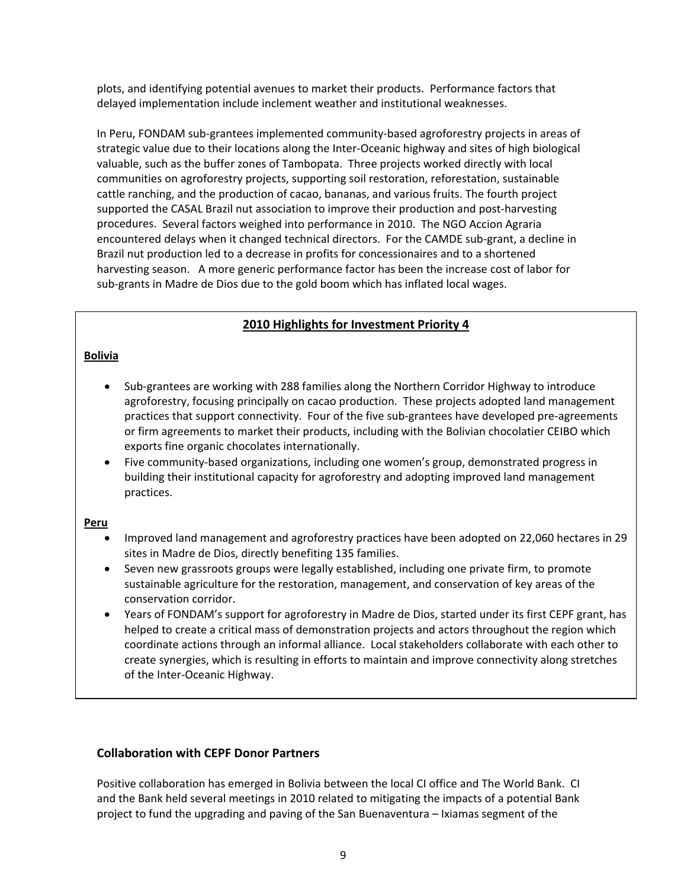plots, and identifying potential avenues to market their products. Performance factors that delayed implementation include inclement weather and institutional weaknesses.

In Peru, FONDAM sub‐grantees implemented community‐based agroforestry projects in areas of strategic value due to their locations along the Inter‐Oceanic highway and sites of high biological valuable, such as the buffer zones of Tambopata. Three projects worked directly with local communities on agroforestry projects, supporting soil restoration, reforestation, sustainable cattle ranching, and the production of cacao, bananas, and various fruits. The fourth project supported the CASAL Brazil nut association to improve their production and post-harvesting procedures. Several factors weighed into performance in 2010. The NGO Accion Agraria encountered delays when it changed technical directors. For the CAMDE sub‐grant, a decline in Brazil nut production led to a decrease in profits for concessionaires and to a shortened harvesting season. A more generic performance factor has been the increase cost of labor for sub‐grants in Madre de Dios due to the gold boom which has inflated local wages.

## **2010 Highlights for Investment Priority 4**

#### **Bolivia**

- Sub‐grantees are working with 288 families along the Northern Corridor Highway to introduce agroforestry, focusing principally on cacao production. These projects adopted land management practices that support connectivity. Four of the five sub‐grantees have developed pre‐agreements or firm agreements to market their products, including with the Bolivian chocolatier CEIBO which exports fine organic chocolates internationally.
- Five community-based organizations, including one women's group, demonstrated progress in building their institutional capacity for agroforestry and adopting improved land management practices.

#### **Peru**

- Improved land management and agroforestry practices have been adopted on 22,060 hectares in 29 sites in Madre de Dios, directly benefiting 135 families.
- Seven new grassroots groups were legally established, including one private firm, to promote sustainable agriculture for the restoration, management, and conservation of key areas of the conservation corridor.
- Years of FONDAM's support for agroforestry in Madre de Dios, started under its first CEPF grant, has helped to create a critical mass of demonstration projects and actors throughout the region which coordinate actions through an informal alliance. Local stakeholders collaborate with each other to create synergies, which is resulting in efforts to maintain and improve connectivity along stretches of the Inter‐Oceanic Highway.

## **Collaboration with CEPF Donor Partners**

Positive collaboration has emerged in Bolivia between the local CI office and The World Bank. CI and the Bank held several meetings in 2010 related to mitigating the impacts of a potential Bank project to fund the upgrading and paving of the San Buenaventura – Ixiamas segment of the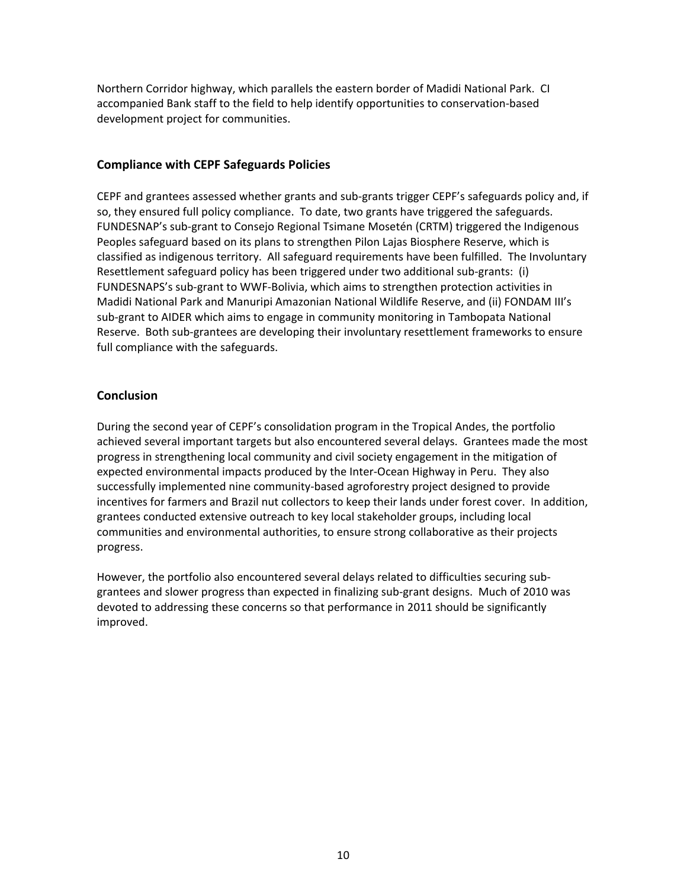Northern Corridor highway, which parallels the eastern border of Madidi National Park. CI accompanied Bank staff to the field to help identify opportunities to conservation‐based development project for communities.

## **Compliance with CEPF Safeguards Policies**

CEPF and grantees assessed whether grants and sub‐grants trigger CEPF's safeguards policy and, if so, they ensured full policy compliance. To date, two grants have triggered the safeguards. FUNDESNAP's sub‐grant to Consejo Regional Tsimane Mosetén (CRTM) triggered the Indigenous Peoples safeguard based on its plans to strengthen Pilon Lajas Biosphere Reserve, which is classified as indigenous territory. All safeguard requirements have been fulfilled. The Involuntary Resettlement safeguard policy has been triggered under two additional sub‐grants: (i) FUNDESNAPS's sub‐grant to WWF‐Bolivia, which aims to strengthen protection activities in Madidi National Park and Manuripi Amazonian National Wildlife Reserve, and (ii) FONDAM III's sub‐grant to AIDER which aims to engage in community monitoring in Tambopata National Reserve. Both sub-grantees are developing their involuntary resettlement frameworks to ensure full compliance with the safeguards.

## **Conclusion**

During the second year of CEPF's consolidation program in the Tropical Andes, the portfolio achieved several important targets but also encountered several delays. Grantees made the most progress in strengthening local community and civil society engagement in the mitigation of expected environmental impacts produced by the Inter‐Ocean Highway in Peru. They also successfully implemented nine community‐based agroforestry project designed to provide incentives for farmers and Brazil nut collectors to keep their lands under forest cover. In addition, grantees conducted extensive outreach to key local stakeholder groups, including local communities and environmental authorities, to ensure strong collaborative as their projects progress.

However, the portfolio also encountered several delays related to difficulties securing sub‐ grantees and slower progress than expected in finalizing sub‐grant designs. Much of 2010 was devoted to addressing these concerns so that performance in 2011 should be significantly improved.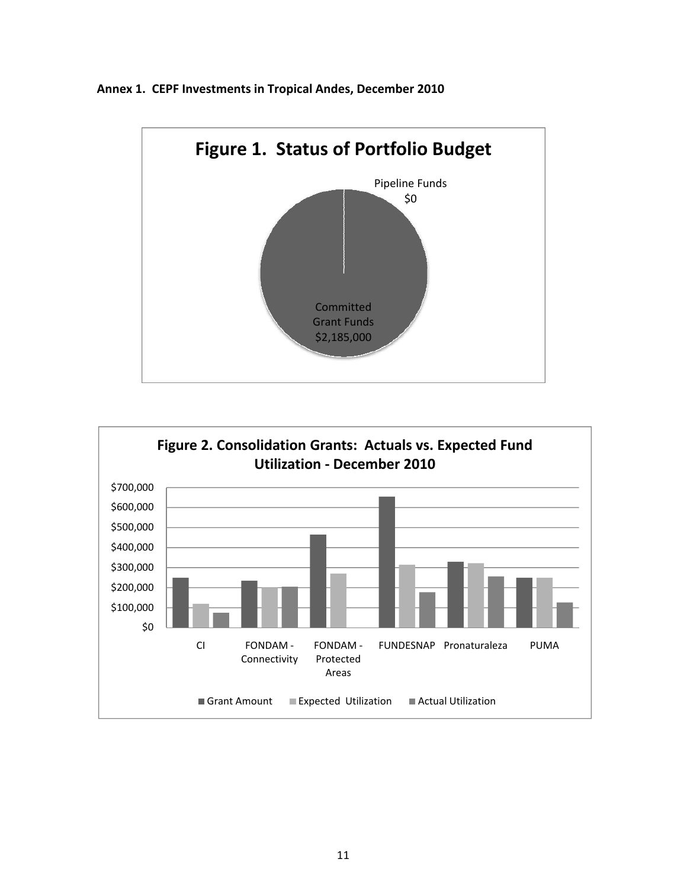



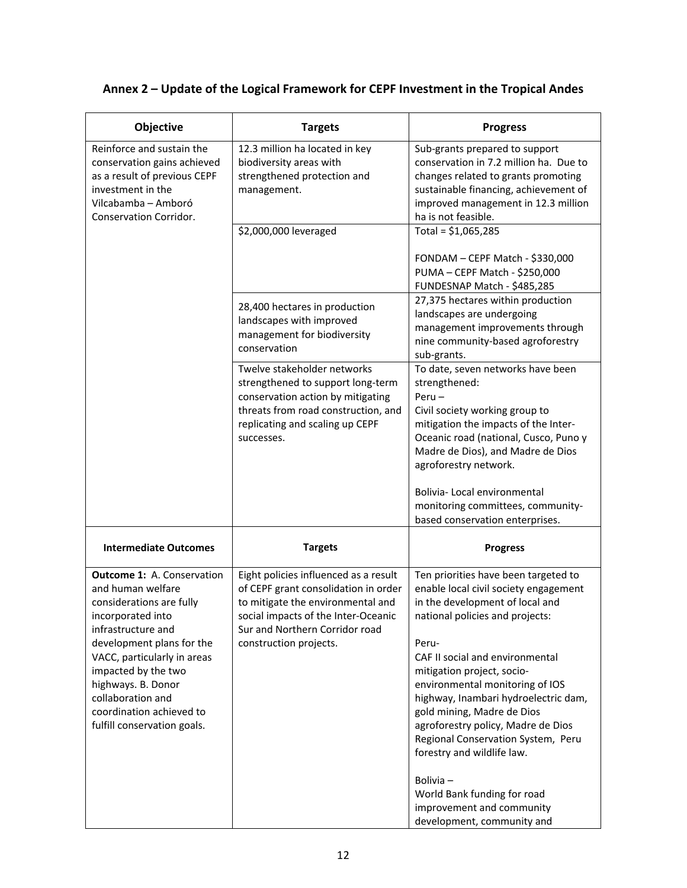| Objective                                                                                                                                                                                                                                                                                                              | <b>Targets</b>                                                                                                                                                                                                        | <b>Progress</b>                                                                                                                                                                                                                                                                                                                                                                                                                                                                                                                                        |
|------------------------------------------------------------------------------------------------------------------------------------------------------------------------------------------------------------------------------------------------------------------------------------------------------------------------|-----------------------------------------------------------------------------------------------------------------------------------------------------------------------------------------------------------------------|--------------------------------------------------------------------------------------------------------------------------------------------------------------------------------------------------------------------------------------------------------------------------------------------------------------------------------------------------------------------------------------------------------------------------------------------------------------------------------------------------------------------------------------------------------|
| Reinforce and sustain the<br>conservation gains achieved<br>as a result of previous CEPF<br>investment in the<br>Vilcabamba - Amboró<br>Conservation Corridor.                                                                                                                                                         | 12.3 million ha located in key<br>biodiversity areas with<br>strengthened protection and<br>management.                                                                                                               | Sub-grants prepared to support<br>conservation in 7.2 million ha. Due to<br>changes related to grants promoting<br>sustainable financing, achievement of<br>improved management in 12.3 million<br>ha is not feasible.                                                                                                                                                                                                                                                                                                                                 |
|                                                                                                                                                                                                                                                                                                                        | \$2,000,000 leveraged                                                                                                                                                                                                 | Total = $$1,065,285$                                                                                                                                                                                                                                                                                                                                                                                                                                                                                                                                   |
|                                                                                                                                                                                                                                                                                                                        |                                                                                                                                                                                                                       | FONDAM - CEPF Match - \$330,000<br>PUMA - CEPF Match - \$250,000<br>FUNDESNAP Match - \$485,285                                                                                                                                                                                                                                                                                                                                                                                                                                                        |
|                                                                                                                                                                                                                                                                                                                        | 28,400 hectares in production<br>landscapes with improved<br>management for biodiversity<br>conservation                                                                                                              | 27,375 hectares within production<br>landscapes are undergoing<br>management improvements through<br>nine community-based agroforestry<br>sub-grants.                                                                                                                                                                                                                                                                                                                                                                                                  |
|                                                                                                                                                                                                                                                                                                                        | Twelve stakeholder networks<br>strengthened to support long-term<br>conservation action by mitigating<br>threats from road construction, and<br>replicating and scaling up CEPF<br>successes.                         | To date, seven networks have been<br>strengthened:<br>$Peru -$<br>Civil society working group to<br>mitigation the impacts of the Inter-<br>Oceanic road (national, Cusco, Puno y<br>Madre de Dios), and Madre de Dios<br>agroforestry network.                                                                                                                                                                                                                                                                                                        |
|                                                                                                                                                                                                                                                                                                                        |                                                                                                                                                                                                                       | Bolivia-Local environmental<br>monitoring committees, community-<br>based conservation enterprises.                                                                                                                                                                                                                                                                                                                                                                                                                                                    |
| <b>Intermediate Outcomes</b>                                                                                                                                                                                                                                                                                           | <b>Targets</b>                                                                                                                                                                                                        | <b>Progress</b>                                                                                                                                                                                                                                                                                                                                                                                                                                                                                                                                        |
| <b>Outcome 1:</b> A. Conservation<br>and human welfare<br>considerations are fully<br>incorporated into<br>infrastructure and<br>development plans for the<br>VACC, particularly in areas<br>impacted by the two<br>highways. B. Donor<br>collaboration and<br>coordination achieved to<br>fulfill conservation goals. | Eight policies influenced as a result<br>of CEPF grant consolidation in order<br>to mitigate the environmental and<br>social impacts of the Inter-Oceanic<br>Sur and Northern Corridor road<br>construction projects. | Ten priorities have been targeted to<br>enable local civil society engagement<br>in the development of local and<br>national policies and projects:<br>Peru-<br>CAF II social and environmental<br>mitigation project, socio-<br>environmental monitoring of IOS<br>highway, Inambari hydroelectric dam,<br>gold mining, Madre de Dios<br>agroforestry policy, Madre de Dios<br>Regional Conservation System, Peru<br>forestry and wildlife law.<br>Bolivia-<br>World Bank funding for road<br>improvement and community<br>development, community and |

# **Annex 2 – Update of the Logical Framework for CEPF Investment in the Tropical Andes**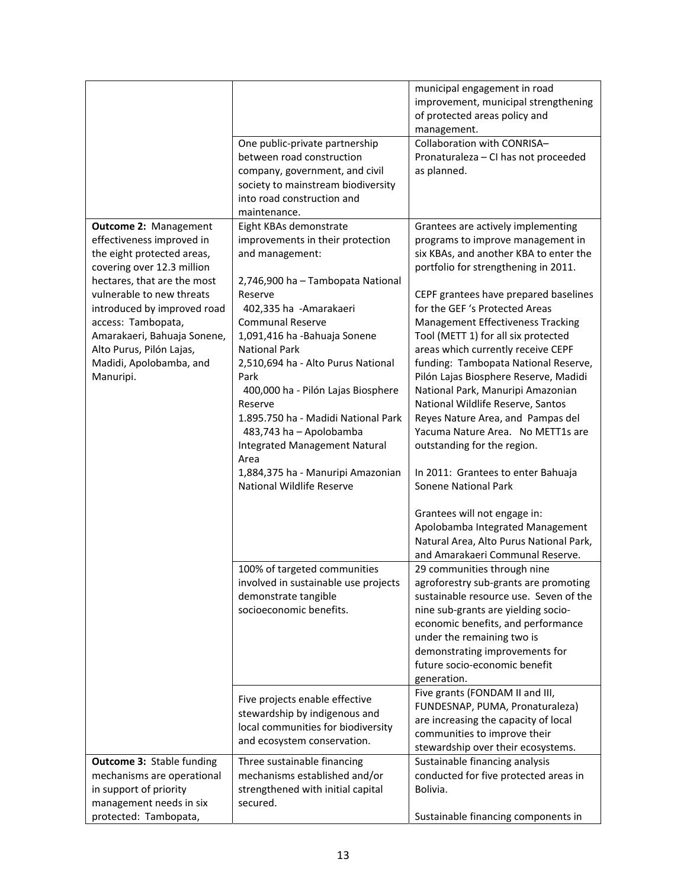|                                  |                                      | municipal engagement in road<br>improvement, municipal strengthening<br>of protected areas policy and<br>management. |
|----------------------------------|--------------------------------------|----------------------------------------------------------------------------------------------------------------------|
|                                  |                                      | Collaboration with CONRISA-                                                                                          |
|                                  | One public-private partnership       |                                                                                                                      |
|                                  | between road construction            | Pronaturaleza - CI has not proceeded                                                                                 |
|                                  | company, government, and civil       | as planned.                                                                                                          |
|                                  | society to mainstream biodiversity   |                                                                                                                      |
|                                  | into road construction and           |                                                                                                                      |
|                                  | maintenance.                         |                                                                                                                      |
| <b>Outcome 2: Management</b>     | Eight KBAs demonstrate               | Grantees are actively implementing                                                                                   |
| effectiveness improved in        | improvements in their protection     | programs to improve management in                                                                                    |
| the eight protected areas,       | and management:                      | six KBAs, and another KBA to enter the                                                                               |
| covering over 12.3 million       |                                      | portfolio for strengthening in 2011.                                                                                 |
| hectares, that are the most      | 2,746,900 ha - Tambopata National    |                                                                                                                      |
| vulnerable to new threats        | Reserve                              | CEPF grantees have prepared baselines                                                                                |
| introduced by improved road      | 402,335 ha - Amarakaeri              | for the GEF 's Protected Areas                                                                                       |
| access: Tambopata,               | <b>Communal Reserve</b>              | Management Effectiveness Tracking                                                                                    |
| Amarakaeri, Bahuaja Sonene,      | 1,091,416 ha -Bahuaja Sonene         | Tool (METT 1) for all six protected                                                                                  |
| Alto Purus, Pilón Lajas,         | <b>National Park</b>                 | areas which currently receive CEPF                                                                                   |
| Madidi, Apolobamba, and          | 2,510,694 ha - Alto Purus National   | funding: Tambopata National Reserve,                                                                                 |
| Manuripi.                        | Park                                 | Pilón Lajas Biosphere Reserve, Madidi                                                                                |
|                                  | 400,000 ha - Pilón Lajas Biosphere   | National Park, Manuripi Amazonian                                                                                    |
|                                  | Reserve                              | National Wildlife Reserve, Santos                                                                                    |
|                                  | 1.895.750 ha - Madidi National Park  | Reyes Nature Area, and Pampas del                                                                                    |
|                                  | 483,743 ha - Apolobamba              | Yacuma Nature Area. No METT1s are                                                                                    |
|                                  | <b>Integrated Management Natural</b> | outstanding for the region.                                                                                          |
|                                  | Area                                 |                                                                                                                      |
|                                  | 1,884,375 ha - Manuripi Amazonian    | In 2011: Grantees to enter Bahuaja                                                                                   |
|                                  | National Wildlife Reserve            | Sonene National Park                                                                                                 |
|                                  |                                      |                                                                                                                      |
|                                  |                                      | Grantees will not engage in:                                                                                         |
|                                  |                                      | Apolobamba Integrated Management                                                                                     |
|                                  |                                      | Natural Area, Alto Purus National Park,                                                                              |
|                                  |                                      | and Amarakaeri Communal Reserve.                                                                                     |
|                                  |                                      |                                                                                                                      |
|                                  | 100% of targeted communities         | 29 communities through nine                                                                                          |
|                                  | involved in sustainable use projects | agroforestry sub-grants are promoting                                                                                |
|                                  | demonstrate tangible                 | sustainable resource use. Seven of the                                                                               |
|                                  | socioeconomic benefits.              | nine sub-grants are yielding socio-                                                                                  |
|                                  |                                      | economic benefits, and performance                                                                                   |
|                                  |                                      | under the remaining two is                                                                                           |
|                                  |                                      | demonstrating improvements for                                                                                       |
|                                  |                                      | future socio-economic benefit                                                                                        |
|                                  |                                      | generation.                                                                                                          |
|                                  | Five projects enable effective       | Five grants (FONDAM II and III,                                                                                      |
|                                  | stewardship by indigenous and        | FUNDESNAP, PUMA, Pronaturaleza)                                                                                      |
|                                  | local communities for biodiversity   | are increasing the capacity of local                                                                                 |
|                                  | and ecosystem conservation.          | communities to improve their                                                                                         |
|                                  |                                      | stewardship over their ecosystems.                                                                                   |
| <b>Outcome 3: Stable funding</b> | Three sustainable financing          | Sustainable financing analysis                                                                                       |
| mechanisms are operational       | mechanisms established and/or        | conducted for five protected areas in                                                                                |
| in support of priority           | strengthened with initial capital    | Bolivia.                                                                                                             |
| management needs in six          | secured.                             |                                                                                                                      |
| protected: Tambopata,            |                                      | Sustainable financing components in                                                                                  |